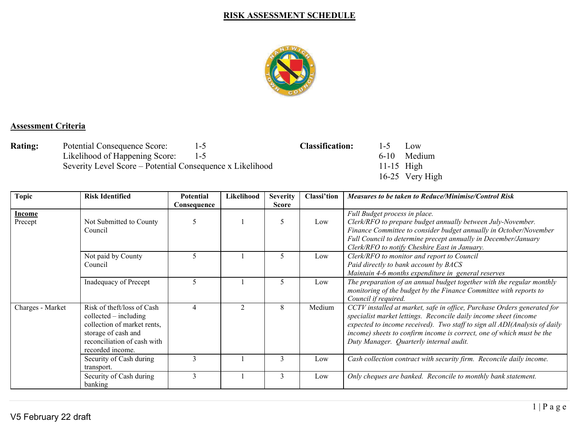## **RISK ASSESSMENT SCHEDULE**



## **Assessment Criteria**

**Rating:** Potential Consequence Score: 1-5 **Classification:** 1-5 Low<br>Likelihood of Happening Score: 1-5 **Classification:** 1-5 Low Likelihood of Happening Score: 1-5 6-10 Medium 6-10 Medium Severity Level Score – Potential Consequence x Likelihood 11-15 High Severity Level Score – Potential Consequence x Likelihood

16-25 Very High

| <b>Topic</b>             | <b>Risk Identified</b>                                                                                                                                         | Potential<br>Consequence | Likelihood | <b>Severity</b><br><b>Score</b> | Classi'tion | <b>Measures to be taken to Reduce/Minimise/Control Risk</b>                                                                                                                                                                                                                                                                                  |
|--------------------------|----------------------------------------------------------------------------------------------------------------------------------------------------------------|--------------------------|------------|---------------------------------|-------------|----------------------------------------------------------------------------------------------------------------------------------------------------------------------------------------------------------------------------------------------------------------------------------------------------------------------------------------------|
| <u>Income</u><br>Precept | Not Submitted to County<br>Council                                                                                                                             |                          |            | 5                               | Low         | Full Budget process in place.<br>Clerk/RFO to prepare budget annually between July-November.<br>Finance Committee to consider budget annually in October/November<br>Full Council to determine precept annually in December/January<br>Clerk/RFO to notify Cheshire East in January.                                                         |
|                          | Not paid by County<br>Council                                                                                                                                  | 5                        |            | 5                               | Low         | Clerk/RFO to monitor and report to Council<br>Paid directly to bank account by BACS<br>Maintain 4-6 months expenditure in general reserves                                                                                                                                                                                                   |
|                          | Inadequacy of Precept                                                                                                                                          | 5                        |            | 5                               | Low         | The preparation of an annual budget together with the regular monthly<br>monitoring of the budget by the Finance Committee with reports to<br>Council if required.                                                                                                                                                                           |
| Charges - Market         | Risk of theft/loss of Cash<br>$collected - including$<br>collection of market rents,<br>storage of cash and<br>reconciliation of cash with<br>recorded income. | $\overline{4}$           |            | 8                               | Medium      | CCTV installed at market, safe in office, Purchase Orders generated for<br>specialist market lettings. Reconcile daily income sheet (income<br>expected to income received). Two staff to sign all ADI(Analysis of daily<br>income) sheets to confirm income is correct, one of which must be the<br>Duty Manager. Quarterly internal audit. |
|                          | Security of Cash during<br>transport.                                                                                                                          | 3                        |            | $\mathbf{3}$                    | Low         | Cash collection contract with security firm. Reconcile daily income.                                                                                                                                                                                                                                                                         |
|                          | Security of Cash during<br>banking                                                                                                                             | $\mathcal{E}$            |            | 3                               | Low         | Only cheques are banked. Reconcile to monthly bank statement.                                                                                                                                                                                                                                                                                |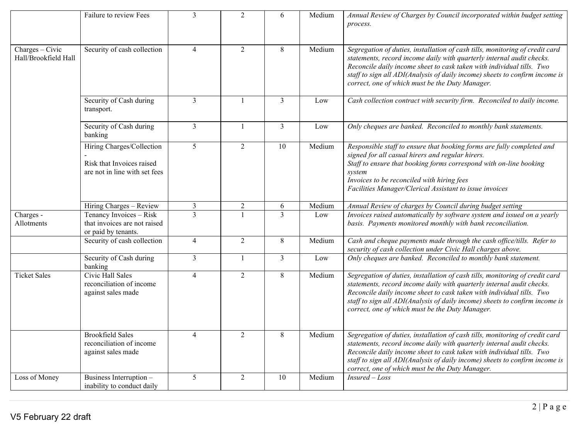|                                         | Failure to review Fees                                                                  | $\mathfrak{Z}$  | $\overline{2}$ | 6              | Medium | Annual Review of Charges by Council incorporated within budget setting<br>process.                                                                                                                                                                                                                                                                               |
|-----------------------------------------|-----------------------------------------------------------------------------------------|-----------------|----------------|----------------|--------|------------------------------------------------------------------------------------------------------------------------------------------------------------------------------------------------------------------------------------------------------------------------------------------------------------------------------------------------------------------|
| Charges - Civic<br>Hall/Brookfield Hall | Security of cash collection                                                             | $\overline{4}$  | $\overline{2}$ | $8\,$          | Medium | Segregation of duties, installation of cash tills, monitoring of credit card<br>statements, record income daily with quarterly internal audit checks.<br>Reconcile daily income sheet to cask taken with individual tills. Two<br>staff to sign all ADI(Analysis of daily income) sheets to confirm income is<br>correct, one of which must be the Duty Manager. |
|                                         | Security of Cash during<br>transport.                                                   | $\overline{3}$  | $\mathbf{1}$   | $\overline{3}$ | Low    | Cash collection contract with security firm. Reconciled to daily income.                                                                                                                                                                                                                                                                                         |
|                                         | Security of Cash during<br>banking                                                      | $\overline{3}$  | $\mathbf{1}$   | $\overline{3}$ | Low    | Only cheques are banked. Reconciled to monthly bank statements.                                                                                                                                                                                                                                                                                                  |
|                                         | Hiring Charges/Collection<br>Risk that Invoices raised<br>are not in line with set fees | $5\overline{)}$ | $\overline{2}$ | 10             | Medium | Responsible staff to ensure that booking forms are fully completed and<br>signed for all casual hirers and regular hirers.<br>Staff to ensure that booking forms correspond with on-line booking<br>system<br>Invoices to be reconciled with hiring fees<br>Facilities Manager/Clerical Assistant to issue invoices                                              |
|                                         | Hiring Charges - Review                                                                 | $\mathfrak{Z}$  | $\overline{2}$ | 6              | Medium | Annual Review of charges by Council during budget setting                                                                                                                                                                                                                                                                                                        |
| Charges -<br>Allotments                 | Tenancy Invoices - Risk<br>that invoices are not raised<br>or paid by tenants.          | $\overline{3}$  | 1              | $\overline{3}$ | Low    | Invoices raised automatically by software system and issued on a yearly<br>basis. Payments monitored monthly with bank reconciliation.                                                                                                                                                                                                                           |
|                                         | Security of cash collection                                                             | $\overline{4}$  | $\overline{2}$ | $8\,$          | Medium | Cash and cheque payments made through the cash office/tills. Refer to<br>security of cash collection under Civic Hall charges above.                                                                                                                                                                                                                             |
|                                         | Security of Cash during<br>banking                                                      | $\overline{3}$  | $\mathbf{1}$   | $\mathfrak{Z}$ | Low    | Only cheques are banked. Reconciled to monthly bank statement.                                                                                                                                                                                                                                                                                                   |
| <b>Ticket Sales</b>                     | Civic Hall Sales<br>reconciliation of income<br>against sales made                      | $\overline{4}$  | $\overline{2}$ | $8\,$          | Medium | Segregation of duties, installation of cash tills, monitoring of credit card<br>statements, record income daily with quarterly internal audit checks.<br>Reconcile daily income sheet to cask taken with individual tills. Two<br>staff to sign all ADI(Analysis of daily income) sheets to confirm income is<br>correct, one of which must be the Duty Manager. |
|                                         | <b>Brookfield Sales</b><br>reconciliation of income<br>against sales made               | $\overline{4}$  | $\overline{2}$ | $8\,$          | Medium | Segregation of duties, installation of cash tills, monitoring of credit card<br>statements, record income daily with quarterly internal audit checks.<br>Reconcile daily income sheet to cask taken with individual tills. Two<br>staff to sign all ADI(Analysis of daily income) sheets to confirm income is<br>correct, one of which must be the Duty Manager. |
| Loss of Money                           | Business Interruption -<br>inability to conduct daily                                   | 5               | $\overline{2}$ | 10             | Medium | $Insured - Loss$                                                                                                                                                                                                                                                                                                                                                 |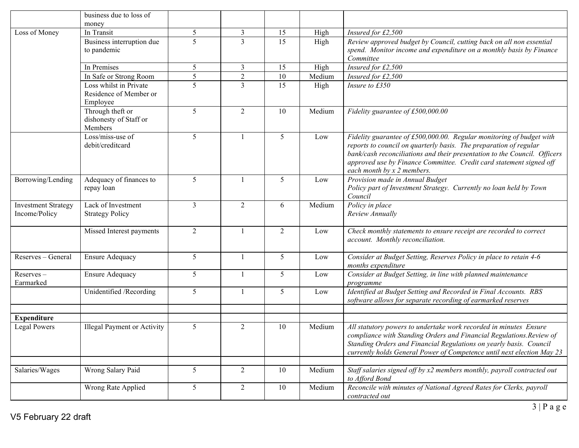|                                             | business due to loss of                                      |                 |                |                |              |                                                                                                                                                                                                                                                                                                                             |
|---------------------------------------------|--------------------------------------------------------------|-----------------|----------------|----------------|--------------|-----------------------------------------------------------------------------------------------------------------------------------------------------------------------------------------------------------------------------------------------------------------------------------------------------------------------------|
|                                             | money                                                        | 5               | $\mathfrak{Z}$ | 15             |              |                                                                                                                                                                                                                                                                                                                             |
| Loss of Money                               | In Transit<br>Business interruption due<br>to pandemic       | 5               | $\overline{3}$ | 15             | High<br>High | Insured for £2,500<br>Review approved budget by Council, cutting back on all non essential<br>spend. Monitor income and expenditure on a monthly basis by Finance<br>Committee                                                                                                                                              |
|                                             | In Premises                                                  | 5               | $\mathfrak{Z}$ | 15             | High         | Insured for £2,500                                                                                                                                                                                                                                                                                                          |
|                                             | In Safe or Strong Room                                       | 5               | $\overline{2}$ | 10             | Medium       | Insured for £2,500                                                                                                                                                                                                                                                                                                          |
|                                             | Loss whilst in Private<br>Residence of Member or<br>Employee | 5               | $\overline{3}$ | 15             | High         | Insure to £350                                                                                                                                                                                                                                                                                                              |
|                                             | Through theft or<br>dishonesty of Staff or<br>Members        | 5               | $\overline{2}$ | 10             | Medium       | Fidelity guarantee of £500,000.00                                                                                                                                                                                                                                                                                           |
|                                             | Loss/miss-use of<br>debit/creditcard                         | 5               |                | 5              | Low          | Fidelity guarantee of £500,000.00. Regular monitoring of budget with<br>reports to council on quarterly basis. The preparation of regular<br>bank/cash reconciliations and their presentation to the Council. Officers<br>approved use by Finance Committee. Credit card statement signed off<br>each month by x 2 members. |
| Borrowing/Lending                           | Adequacy of finances to<br>repay loan                        | 5               |                | 5              | Low          | Provision made in Annual Budget<br>Policy part of Investment Strategy. Currently no loan held by Town<br>Council                                                                                                                                                                                                            |
| <b>Investment Strategy</b><br>Income/Policy | Lack of Investment<br><b>Strategy Policy</b>                 | $\overline{3}$  | $\overline{2}$ | 6              | Medium       | Policy in place<br>Review Annually                                                                                                                                                                                                                                                                                          |
|                                             | Missed Interest payments                                     | $\overline{2}$  |                | $\overline{2}$ | Low          | Check monthly statements to ensure receipt are recorded to correct<br>account. Monthly reconciliation.                                                                                                                                                                                                                      |
| Reserves - General                          | <b>Ensure Adequacy</b>                                       | 5               |                | 5              | Low          | Consider at Budget Setting, Reserves Policy in place to retain 4-6<br>months expenditure                                                                                                                                                                                                                                    |
| Reserves-<br>Earmarked                      | <b>Ensure Adequacy</b>                                       | 5               |                | 5              | Low          | Consider at Budget Setting, in line with planned maintenance<br>programme                                                                                                                                                                                                                                                   |
|                                             | Unidentified /Recording                                      | 5               |                | 5              | Low          | Identified at Budget Setting and Recorded in Final Accounts. RBS<br>software allows for separate recording of earmarked reserves                                                                                                                                                                                            |
| <b>Expenditure</b>                          |                                                              |                 |                |                |              |                                                                                                                                                                                                                                                                                                                             |
| <b>Legal Powers</b>                         | Illegal Payment or Activity                                  | 5               | 2              | 10             | Medium       | All statutory powers to undertake work recorded in minutes Ensure<br>compliance with Standing Orders and Financial Regulations. Review of<br>Standing Orders and Financial Regulations on yearly basis. Council<br>currently holds General Power of Competence until next election May 23                                   |
| Salaries/Wages                              | Wrong Salary Paid                                            | 5               | $\sqrt{2}$     | 10             | Medium       | Staff salaries signed off by x2 members monthly, payroll contracted out<br>to Afford Bond                                                                                                                                                                                                                                   |
|                                             | Wrong Rate Applied                                           | $5\overline{)}$ | $\overline{2}$ | 10             | Medium       | Reconcile with minutes of National Agreed Rates for Clerks, payroll<br>contracted out                                                                                                                                                                                                                                       |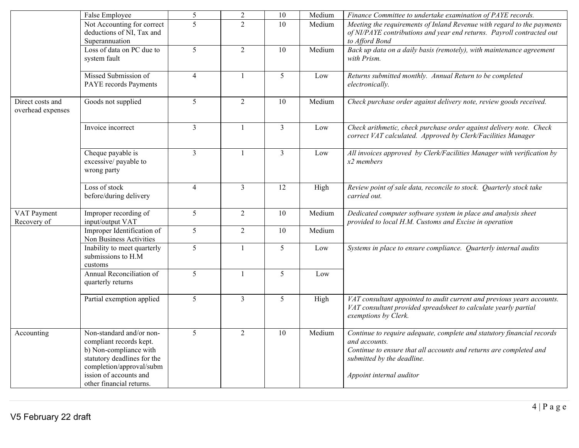|                                       | False Employee                                                                                                                                                                                 | 5               | $\overline{2}$ | 10             | Medium | Finance Committee to undertake examination of PAYE records.                                                                                                                                                             |
|---------------------------------------|------------------------------------------------------------------------------------------------------------------------------------------------------------------------------------------------|-----------------|----------------|----------------|--------|-------------------------------------------------------------------------------------------------------------------------------------------------------------------------------------------------------------------------|
|                                       | Not Accounting for correct<br>deductions of NI, Tax and<br>Superannuation                                                                                                                      | $\overline{5}$  | $\overline{2}$ | 10             | Medium | Meeting the requirements of Inland Revenue with regard to the payments<br>of NI/PAYE contributions and year end returns. Payroll contracted out<br>to Afford Bond                                                       |
|                                       | Loss of data on PC due to<br>system fault                                                                                                                                                      | $\overline{5}$  | $\overline{2}$ | 10             | Medium | Back up data on a daily basis (remotely), with maintenance agreement<br>with Prism.                                                                                                                                     |
|                                       | Missed Submission of<br>PAYE records Payments                                                                                                                                                  | $\overline{4}$  | $\overline{1}$ | $\overline{5}$ | Low    | Returns submitted monthly. Annual Return to be completed<br>electronically.                                                                                                                                             |
| Direct costs and<br>overhead expenses | Goods not supplied                                                                                                                                                                             | $\overline{5}$  | $\overline{2}$ | 10             | Medium | Check purchase order against delivery note, review goods received.                                                                                                                                                      |
|                                       | Invoice incorrect                                                                                                                                                                              | $\overline{3}$  | $\mathbf{1}$   | $\overline{3}$ | Low    | Check arithmetic, check purchase order against delivery note. Check<br>correct VAT calculated. Approved by Clerk/Facilities Manager                                                                                     |
|                                       | Cheque payable is<br>excessive/ payable to<br>wrong party                                                                                                                                      | $\mathfrak{Z}$  |                | $\overline{3}$ | Low    | All invoices approved by Clerk/Facilities Manager with verification by<br>$x2$ members                                                                                                                                  |
|                                       | Loss of stock<br>before/during delivery                                                                                                                                                        | $\overline{4}$  | $\overline{3}$ | 12             | High   | Review point of sale data, reconcile to stock. Quarterly stock take<br>carried out.                                                                                                                                     |
| VAT Payment<br>Recovery of            | Improper recording of<br>input/output VAT                                                                                                                                                      | 5               | $\overline{2}$ | 10             | Medium | Dedicated computer software system in place and analysis sheet<br>provided to local H.M. Customs and Excise in operation                                                                                                |
|                                       | Improper Identification of<br>Non Business Activities                                                                                                                                          | $5\overline{)}$ | $\overline{2}$ | 10             | Medium |                                                                                                                                                                                                                         |
|                                       | Inability to meet quarterly<br>submissions to H.M<br>customs                                                                                                                                   | 5               | $\overline{1}$ | 5              | Low    | Systems in place to ensure compliance. Quarterly internal audits                                                                                                                                                        |
|                                       | Annual Reconciliation of<br>quarterly returns                                                                                                                                                  | 5               | $\mathbf{1}$   | 5              | Low    |                                                                                                                                                                                                                         |
|                                       | Partial exemption applied                                                                                                                                                                      | $\overline{5}$  | $\overline{3}$ | 5              | High   | VAT consultant appointed to audit current and previous years accounts.<br>VAT consultant provided spreadsheet to calculate yearly partial<br>exemptions by Clerk.                                                       |
| Accounting                            | Non-standard and/or non-<br>compliant records kept.<br>b) Non-compliance with<br>statutory deadlines for the<br>completion/approval/subm<br>ission of accounts and<br>other financial returns. | 5               | $\overline{2}$ | 10             | Medium | Continue to require adequate, complete and statutory financial records<br>and accounts.<br>Continue to ensure that all accounts and returns are completed and<br>submitted by the deadline.<br>Appoint internal auditor |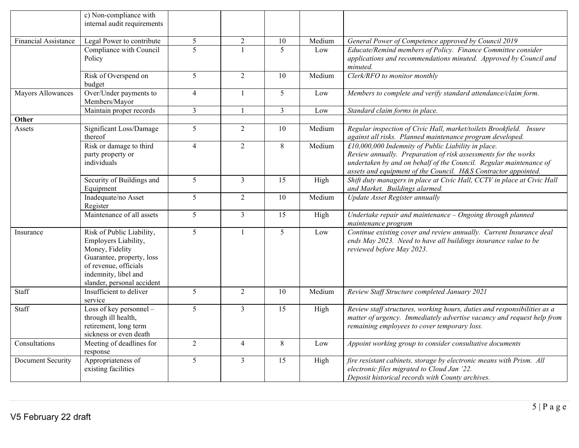|                             | c) Non-compliance with<br>internal audit requirements                                                                                                                            |                |                |                |        |                                                                                                                                                                                                                                                               |
|-----------------------------|----------------------------------------------------------------------------------------------------------------------------------------------------------------------------------|----------------|----------------|----------------|--------|---------------------------------------------------------------------------------------------------------------------------------------------------------------------------------------------------------------------------------------------------------------|
| <b>Financial Assistance</b> | Legal Power to contribute                                                                                                                                                        | 5              | $\overline{2}$ | 10             | Medium | General Power of Competence approved by Council 2019                                                                                                                                                                                                          |
|                             | Compliance with Council<br>Policy                                                                                                                                                | $\overline{5}$ |                | 5              | Low    | Educate/Remind members of Policy. Finance Committee consider<br>applications and recommendations minuted. Approved by Council and<br>minuted.                                                                                                                 |
|                             | Risk of Overspend on<br>budget                                                                                                                                                   | 5              | $\overline{2}$ | 10             | Medium | Clerk/RFO to monitor monthly                                                                                                                                                                                                                                  |
| Mayors Allowances           | Over/Under payments to<br>Members/Mayor                                                                                                                                          | $\overline{4}$ | $\mathbf{1}$   | 5              | Low    | Members to complete and verify standard attendance/claim form.                                                                                                                                                                                                |
|                             | Maintain proper records                                                                                                                                                          | $\overline{3}$ | $\mathbf{1}$   | $\overline{3}$ | Low    | Standard claim forms in place.                                                                                                                                                                                                                                |
| Other                       |                                                                                                                                                                                  |                |                |                |        |                                                                                                                                                                                                                                                               |
| Assets                      | Significant Loss/Damage<br>thereof                                                                                                                                               | 5              | $\overline{2}$ | 10             | Medium | Regular inspection of Civic Hall, market/toilets Brookfield. Insure<br>against all risks. Planned maintenance program developed.                                                                                                                              |
|                             | Risk or damage to third<br>party property or<br>individuals                                                                                                                      | $\overline{4}$ | $\overline{2}$ | 8              | Medium | £10,000,000 Indemnity of Public Liability in place.<br>Review annually. Preparation of risk assessments for the works<br>undertaken by and on behalf of the Council. Regular maintenance of<br>assets and equipment of the Council. H&S Contractor appointed. |
|                             | Security of Buildings and<br>Equipment                                                                                                                                           | 5              | $\overline{3}$ | 15             | High   | Shift duty managers in place at Civic Hall, CCTV in place at Civic Hall<br>and Market. Buildings alarmed.                                                                                                                                                     |
|                             | Inadequate/no Asset<br>Register                                                                                                                                                  | 5              | $\overline{2}$ | 10             | Medium | Update Asset Register annually                                                                                                                                                                                                                                |
|                             | Maintenance of all assets                                                                                                                                                        | $\overline{5}$ | $\overline{3}$ | 15             | High   | Undertake repair and maintenance - Ongoing through planned<br>maintenance program                                                                                                                                                                             |
| Insurance                   | Risk of Public Liability,<br>Employers Liability,<br>Money, Fidelity<br>Guarantee, property, loss<br>of revenue, officials<br>indemnity, libel and<br>slander, personal accident | $\overline{5}$ | $\mathbf{1}$   | 5 <sup>5</sup> | Low    | Continue existing cover and review annually. Current Insurance deal<br>ends May 2023. Need to have all buildings insurance value to be<br>reviewed before May 2023.                                                                                           |
| Staff                       | Insufficient to deliver<br>service                                                                                                                                               | $\overline{5}$ | $\overline{2}$ | 10             | Medium | Review Staff Structure completed January 2021                                                                                                                                                                                                                 |
| Staff                       | Loss of key personnel -<br>through ill health,<br>retirement, long term<br>sickness or even death                                                                                | 5              | $\overline{3}$ | 15             | High   | Review staff structures, working hours, duties and responsibilities as a<br>matter of urgency. Immediately advertise vacancy and request help from<br>remaining employees to cover temporary loss.                                                            |
| Consultations               | Meeting of deadlines for<br>response                                                                                                                                             | $\sqrt{2}$     | $\overline{4}$ | $8\,$          | Low    | Appoint working group to consider consultative documents                                                                                                                                                                                                      |
| Document Security           | Appropriateness of<br>existing facilities                                                                                                                                        | 5              | $\overline{3}$ | 15             | High   | fire resistant cabinets, storage by electronic means with Prism. All<br>electronic files migrated to Cloud Jan '22.<br>Deposit historical records with County archives.                                                                                       |